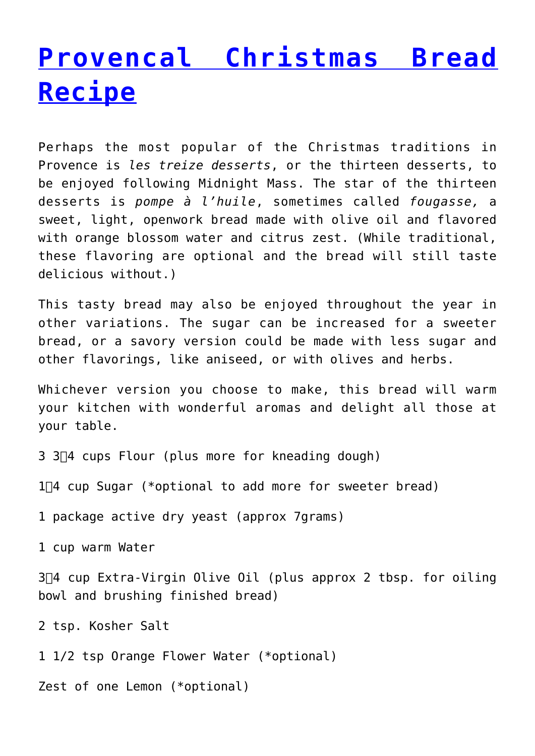## **[Provencal Christmas Bread](http://www.onlyprovence.com/blog/provencal-christmas-bread-recipe/) [Recipe](http://www.onlyprovence.com/blog/provencal-christmas-bread-recipe/)**

Perhaps the most popular of the Christmas traditions in Provence is *les treize desserts*, or the thirteen desserts, to be enjoyed following Midnight Mass. The star of the thirteen desserts is *pompe à l'huile*, sometimes called *fougasse,* a sweet, light, openwork bread made with olive oil and flavored with orange blossom water and citrus zest. (While traditional, these flavoring are optional and the bread will still taste delicious without.)

This tasty bread may also be enjoyed throughout the year in other variations. The sugar can be increased for a sweeter bread, or a savory version could be made with less sugar and other flavorings, like aniseed, or with olives and herbs.

Whichever version you choose to make, this bread will warm your kitchen with wonderful aromas and delight all those at your table.

3 3 $\Box$ 4 cups Flour (plus more for kneading dough)

 $1\overline{4}$  cup Sugar (\*optional to add more for sweeter bread)

1 package active dry yeast (approx 7grams)

1 cup warm Water

3 $\Box$ 4 cup Extra-Virgin Olive Oil (plus approx 2 tbsp. for oiling bowl and brushing finished bread)

2 tsp. Kosher Salt

1 1/2 tsp Orange Flower Water (\*optional)

Zest of one Lemon (\*optional)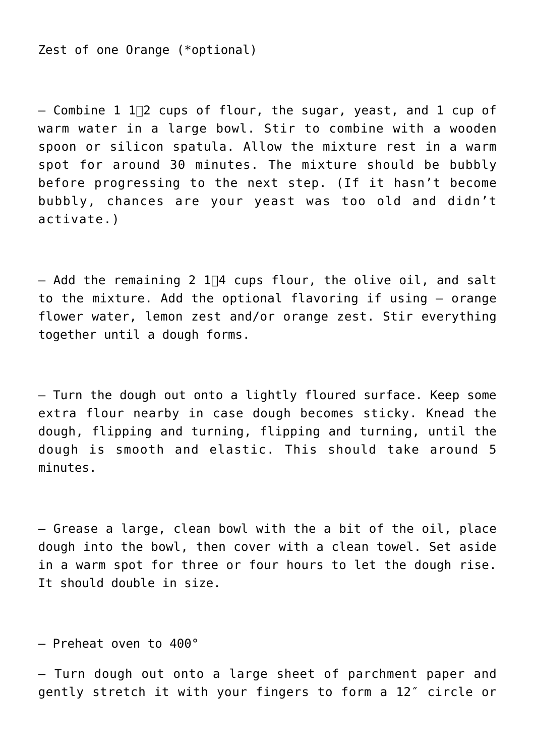Zest of one Orange (\*optional)

 $-$  Combine 1 1 $\Box$  cups of flour, the sugar, yeast, and 1 cup of warm water in a large bowl. Stir to combine with a wooden spoon or silicon spatula. Allow the mixture rest in a warm spot for around 30 minutes. The mixture should be bubbly before progressing to the next step. (If it hasn't become bubbly, chances are your yeast was too old and didn't activate.)

 $-$  Add the remaining 2 1 $\Box$ 4 cups flour, the olive oil, and salt to the mixture. Add the optional flavoring if using — orange flower water, lemon zest and/or orange zest. Stir everything together until a dough forms.

— Turn the dough out onto a lightly floured surface. Keep some extra flour nearby in case dough becomes sticky. Knead the dough, flipping and turning, flipping and turning, until the dough is smooth and elastic. This should take around 5 minutes.

— Grease a large, clean bowl with the a bit of the oil, place dough into the bowl, then cover with a clean towel. Set aside in a warm spot for three or four hours to let the dough rise. It should double in size.

— Preheat oven to 400°

— Turn dough out onto a large sheet of parchment paper and gently stretch it with your fingers to form a 12″ circle or